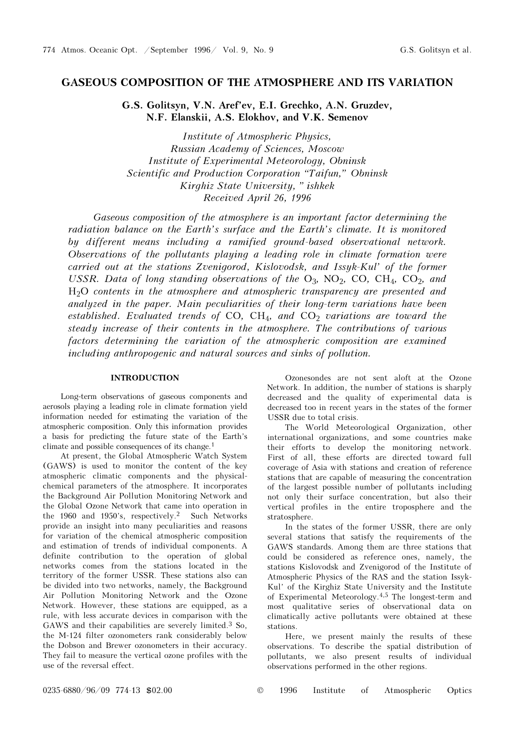## GASEOUS COMPOSITION OF THE ATMOSPHERE AND ITS VARIATION

G.S. Golitsyn, V.N. Aref'ev, E.I. Grechko, A.N. Gruzdev, N.F. Elanskii, A.S. Elokhov, and V.K. Semenov

Institute of Atmospheric Physics, Russian Academy of Sciences, Moscow Institute of Experimental Meteorology, Obninsk Scientific and Production Corporation "Taifun," Obninsk Kirghiz State University, "ishkek Received April 26, 1996

Gaseous composition of the atmosphere is an important factor determining the radiation balance on the Earth's surface and the Earth's climate. It is monitored by different means including a ramified ground-based observational network. Observations of the pollutants playing a leading role in climate formation were carried out at the stations Zvenigorod, Kislovodsk, and Issyk-Kul' of the former USSR. Data of long standing observations of the  $O_3$ , NO<sub>2</sub>, CO, CH<sub>4</sub>, CO<sub>2</sub>, and H2O contents in the atmosphere and atmospheric transparency are presented and analyzed in the paper. Main peculiarities of their long-term variations have been established. Evaluated trends of CO,  $CH_4$ , and  $CO_2$  variations are toward the steady increase of their contents in the atmosphere. The contributions of various factors determining the variation of the atmospheric composition are examined including anthropogenic and natural sources and sinks of pollution.

## INTRODUCTION

Long-term observations of gaseous components and aerosols playing a leading role in climate formation yield information needed for estimating the variation of the atmospheric composition. Only this information provides a basis for predicting the future state of the Earth's climate and possible consequences of its change.<sup>1</sup>

At present, the Global Atmospheric Watch System (GAWS) is used to monitor the content of the key atmospheric climatic components and the physicalchemical parameters of the atmosphere. It incorporates the Background Air Pollution Monitoring Network and the Global Ozone Network that came into operation in the 1960 and 1950's, respectively.2 Such Networks provide an insight into many peculiarities and reasons for variation of the chemical atmospheric composition and estimation of trends of individual components. A definite contribution to the operation of global networks comes from the stations located in the territory of the former USSR. These stations also can be divided into two networks, namely, the Background Air Pollution Monitoring Network and the Ozone Network. However, these stations are equipped, as a rule, with less accurate devices in comparison with the GAWS and their capabilities are severely limited.3 So, the M-124 filter ozonometers rank considerably below the Dobson and Brewer ozonometers in their accuracy. They fail to measure the vertical ozone profiles with the use of the reversal effect.

Ozonesondes are not sent aloft at the Ozone Network. In addition, the number of stations is sharply decreased and the quality of experimental data is decreased too in recent years in the states of the former USSR due to total crisis.

The World Meteorological Organization, other international organizations, and some countries make their efforts to develop the monitoring network. First of all, these efforts are directed toward full coverage of Asia with stations and creation of reference stations that are capable of measuring the concentration of the largest possible number of pollutants including not only their surface concentration, but also their vertical profiles in the entire troposphere and the stratosphere.

In the states of the former USSR, there are only several stations that satisfy the requirements of the GAWS standards. Among them are three stations that could be considered as reference ones, namely, the stations Kislovodsk and Zvenigorod of the Institute of Atmospheric Physics of the RAS and the station Issyk-Kul' of the Kirghiz State University and the Institute of Experimental Meteorology.4,5 The longest-term and most qualitative series of observational data on climatically active pollutants were obtained at these stations.

Here, we present mainly the results of these observations. To describe the spatial distribution of pollutants, we also present results of individual observations performed in the other regions.

0235-6880/96/09 774-13 \$02.00 © 1996 Institute of Atmospheric Optics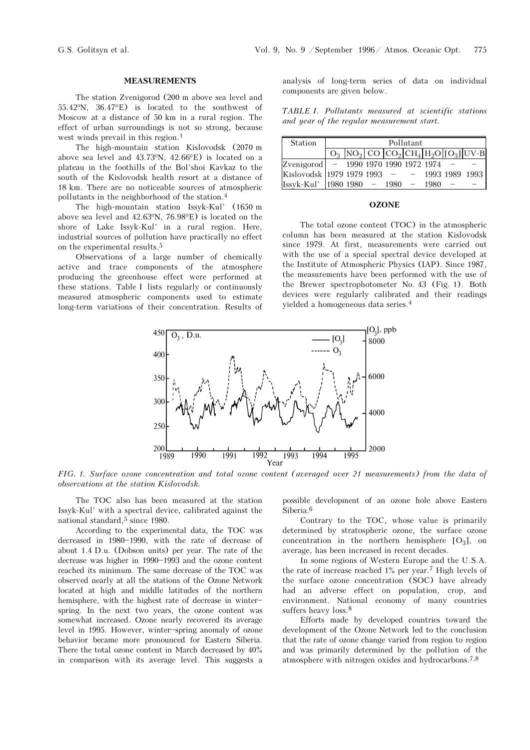### MEASUREMENTS

The station Zvenigorod (200 m above sea level and 55.42°N, 36.47°E) is located to the southwest of Moscow at a distance of 50 km in a rural region. The effect of urban surroundings is not so strong, because west winds prevail in this region.<sup>1</sup>

The high-mountain station Kislovodsk (2070 m above sea level and 43.73°N, 42.66°E) is located on a plateau in the foothills of the Bol'shoi Kavkaz to the south of the Kislovodsk health resort at a distance of 18 km. There are no noticeable sources of atmospheric pollutants in the neighborhood of the station.<sup>4</sup>

The high-mountain station Issyk-Kul' (1650 m above sea level and 42.63°N, 76.98°E) is located on the shore of Lake Issyk-Kul' in a rural region. Here, industrial sources of pollution have practically no effect on the experimental results.<sup>5</sup>

Observations of a large number of chemically active and trace components of the atmosphere producing the greenhouse effect were performed at these stations. Table I lists regularly or continuously measured atmospheric components used to estimate long-term variations of their concentration. Results of analysis of long-term series of data on individual components are given below.

TABLE I. Pollutants measured at scientific stations and year of the regular measurement start.

| <b>Station</b>                        | Pollutant |  |  |  |  |      |  |                                                                                         |
|---------------------------------------|-----------|--|--|--|--|------|--|-----------------------------------------------------------------------------------------|
|                                       |           |  |  |  |  |      |  | $O_3$ NO <sub>2</sub> CO $CO_2$ CH <sub>4</sub> H <sub>2</sub> O [O <sub>3</sub> ] UV-B |
| Zvenigorod - 1990 1970 1990 1972 1974 |           |  |  |  |  |      |  |                                                                                         |
| Kislovodsk 1979 1979 1993 – –         |           |  |  |  |  |      |  | 1993 1989 1993                                                                          |
| $Issyk-Kul'$ 1980 1980 - 1980         |           |  |  |  |  | 1980 |  |                                                                                         |

## **OZONE**

The total ozone content (TOC) in the atmospheric column has been measured at the station Kislovodsk since 1979. At first, measurements were carried out with the use of a special spectral device developed at the Institute of Atmospheric Physics (IAP). Since 1987, the measurements have been performed with the use of the Brewer spectrophotometer No. 43 (Fig. 1). Both devices were regularly calibrated and their readings yielded a homogeneous data series.<sup>4</sup>



FIG. 1. Surface ozone concentration and total ozone content (averaged over 21 measurements) from the data of observations at the station Kislovodsk.

The TOC also has been measured at the station Issyk-Kul' with a spectral device, calibrated against the national standard,<sup>5</sup> since 1980.

According to the experimental data, the TOC was decreased in 1980-1990, with the rate of decrease of about 1.4 D.u. (Dobson units) per year. The rate of the decrease was higher in 1990-1993 and the ozone content reached its minimum. The same decrease of the TOC was observed nearly at all the stations of the Ozone Network located at high and middle latitudes of the northern hemisphere, with the highest rate of decrease in winterspring. In the next two years, the ozone content was somewhat increased. Ozone nearly recovered its average level in 1995. However, winter-spring anomaly of ozone behavior became more pronounced for Eastern Siberia. There the total ozone content in March decreased by 40% in comparison with its average level. This suggests a possible development of an ozone hole above Eastern Siberia<sup>6</sup>

Contrary to the TOC, whose value is primarily determined by stratospheric ozone, the surface ozone concentration in the northern hemisphere  $[O_3]$ , on average, has been increased in recent decades.

In some regions of Western Europe and the U.S.A. the rate of increase reached 1% per year.7 High levels of the surface ozone concentration (SOC) have already had an adverse effect on population, crop, and environment. National economy of many countries suffers heavy loss.<sup>8</sup>

Efforts made by developed countries toward the development of the Ozone Network led to the conclusion that the rate of ozone change varied from region to region and was primarily determined by the pollution of the atmosphere with nitrogen oxides and hydrocarbons.7,8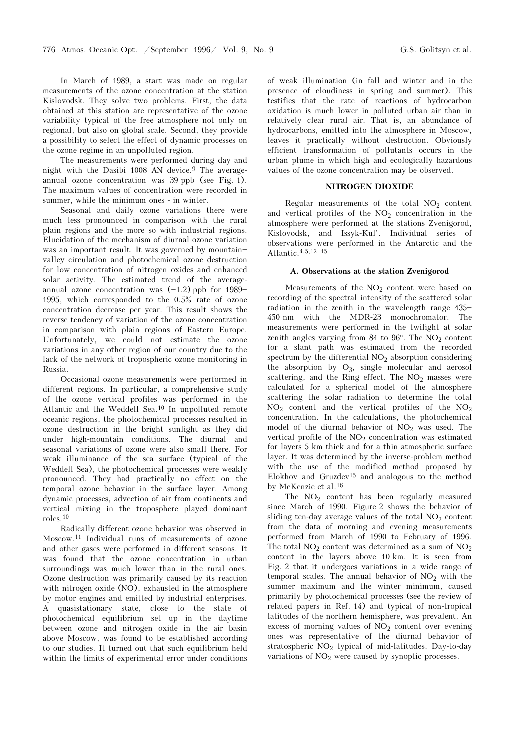In March of 1989, a start was made on regular measurements of the ozone concentration at the station Kislovodsk. They solve two problems. First, the data obtained at this station are representative of the ozone variability typical of the free atmosphere not only on regional, but also on global scale. Second, they provide a possibility to select the effect of dynamic processes on the ozone regime in an unpolluted region.

The measurements were performed during day and night with the Dasibi 1008 AN device.<sup>9</sup> The averageannual ozone concentration was 39 ppb (see Fig. 1). The maximum values of concentration were recorded in summer, while the minimum ones - in winter.

Seasonal and daily ozone variations there were much less pronounced in comparison with the rural plain regions and the more so with industrial regions. Elucidation of the mechanism of diurnal ozone variation was an important result. It was governed by mountainvalley circulation and photochemical ozone destruction for low concentration of nitrogen oxides and enhanced solar activity. The estimated trend of the averageannual ozone concentration was  $(-1.2)$  ppb for 1989-1995, which corresponded to the 0.5% rate of ozone concentration decrease per year. This result shows the reverse tendency of variation of the ozone concentration in comparison with plain regions of Eastern Europe. Unfortunately, we could not estimate the ozone variations in any other region of our country due to the lack of the network of tropospheric ozone monitoring in Russia.

Occasional ozone measurements were performed in different regions. In particular, a comprehensive study of the ozone vertical profiles was performed in the Atlantic and the Weddell Sea.10 In unpolluted remote oceanic regions, the photochemical processes resulted in ozone destruction in the bright sunlight as they did under high-mountain conditions. The diurnal and seasonal variations of ozone were also small there. For weak illuminance of the sea surface (typical of the Weddell Sea), the photochemical processes were weakly pronounced. They had practically no effect on the temporal ozone behavior in the surface layer. Among dynamic processes, advection of air from continents and vertical mixing in the troposphere played dominant roles.<sup>10</sup>

Radically different ozone behavior was observed in Moscow.11 Individual runs of measurements of ozone and other gases were performed in different seasons. It was found that the ozone concentration in urban surroundings was much lower than in the rural ones. Ozone destruction was primarily caused by its reaction with nitrogen oxide (NO), exhausted in the atmosphere by motor engines and emitted by industrial enterprises. A quasistationary state, close to the state of photochemical equilibrium set up in the daytime between ozone and nitrogen oxide in the air basin above Moscow, was found to be established according to our studies. It turned out that such equilibrium held within the limits of experimental error under conditions of weak illumination (in fall and winter and in the presence of cloudiness in spring and summer). This testifies that the rate of reactions of hydrocarbon oxidation is much lower in polluted urban air than in relatively clear rural air. That is, an abundance of hydrocarbons, emitted into the atmosphere in Moscow, leaves it practically without destruction. Obviously efficient transformation of pollutants occurs in the urban plume in which high and ecologically hazardous values of the ozone concentration may be observed.

#### NITROGEN DIOXIDE

Regular measurements of the total  $NO<sub>2</sub>$  content and vertical profiles of the  $NO<sub>2</sub>$  concentration in the atmosphere were performed at the stations Zvenigorod, Kislovodsk, and Issyk-Kul'. Individual series of observations were performed in the Antarctic and the Atlantic. 4, 5, 12-15

#### A. Observations at the station Zvenigorod

Measurements of the  $NO<sub>2</sub>$  content were based on recording of the spectral intensity of the scattered solar radiation in the zenith in the wavelength range  $435-$ 450 nm with the MDR-23 monochromator. The measurements were performed in the twilight at solar zenith angles varying from  $84$  to  $96^\circ$ . The NO<sub>2</sub> content for a slant path was estimated from the recorded spectrum by the differential  $NO<sub>2</sub>$  absorption considering the absorption by  $O_3$ , single molecular and aerosol scattering, and the Ring effect. The  $NO<sub>2</sub>$  masses were calculated for a spherical model of the atmosphere scattering the solar radiation to determine the total  $NO<sub>2</sub>$  content and the vertical profiles of the  $NO<sub>2</sub>$ concentration. In the calculations, the photochemical model of the diurnal behavior of  $NO<sub>2</sub>$  was used. The vertical profile of the  $NO<sub>2</sub>$  concentration was estimated for layers 5 km thick and for a thin atmospheric surface layer. It was determined by the inverse-problem method with the use of the modified method proposed by Elokhov and Gruzdev<sup>15</sup> and analogous to the method by McKenzie et al.<sup>16</sup>

The  $NO<sub>2</sub>$  content has been regularly measured since March of 1990. Figure 2 shows the behavior of sliding ten-day average values of the total  $NO<sub>2</sub>$  content from the data of morning and evening measurements performed from March of 1990 to February of 1996. The total  $NO<sub>2</sub>$  content was determined as a sum of  $NO<sub>2</sub>$ content in the layers above 10 km. It is seen from Fig. 2 that it undergoes variations in a wide range of temporal scales. The annual behavior of  $NO<sub>2</sub>$  with the summer maximum and the winter minimum, caused primarily by photochemical processes (see the review of related papers in Ref. 14) and typical of non-tropical latitudes of the northern hemisphere, was prevalent. An excess of morning values of  $NO<sub>2</sub>$  content over evening ones was representative of the diurnal behavior of stratospheric NO<sub>2</sub> typical of mid-latitudes. Day-to-day variations of  $NO<sub>2</sub>$  were caused by synoptic processes.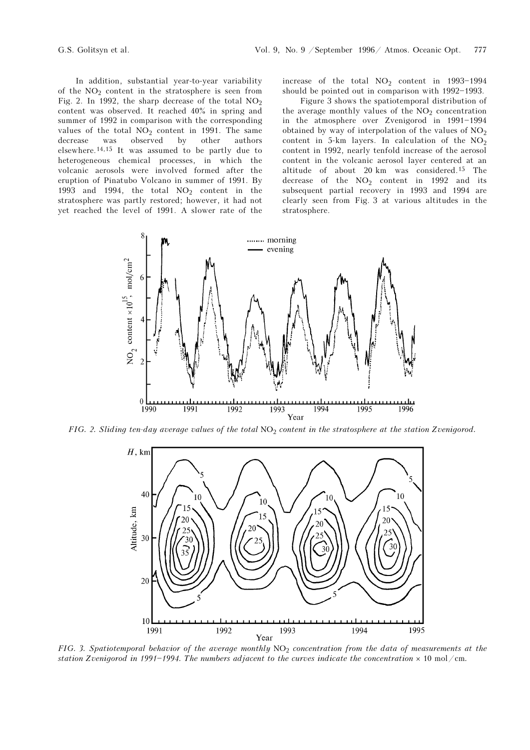In addition, substantial year-to-year variability of the  $NO<sub>2</sub>$  content in the stratosphere is seen from Fig. 2. In 1992, the sharp decrease of the total  $NO<sub>2</sub>$ content was observed. It reached 40% in spring and summer of 1992 in comparison with the corresponding values of the total  $NO<sub>2</sub>$  content in 1991. The same decrease was observed by other authors  $\,$  observed  $\,$ elsewhere.14,15 It was assumed to be partly due to heterogeneous chemical processes, in which the volcanic aerosols were involved formed after the eruption of Pinatubo Volcano in summer of 1991. By 1993 and 1994, the total  $NO<sub>2</sub>$  content in the stratosphere was partly restored; however, it had not yet reached the level of 1991. A slower rate of the increase of the total  $NO<sub>2</sub>$  content in 1993-1994 should be pointed out in comparison with 1992-1993.

Figure 3 shows the spatiotemporal distribution of the average monthly values of the  $NO<sub>2</sub>$  concentration in the atmosphere over Zvenigorod in 1991-1994 obtained by way of interpolation of the values of  $NO<sub>2</sub>$ content in 5-km layers. In calculation of the NO<sup>2</sup> content in 1992, nearly tenfold increase of the aerosol content in the volcanic aerosol layer centered at an altitude of about 20 km was considered.15 The decrease of the  $NO<sub>2</sub>$  content in 1992 and its subsequent partial recovery in 1993 and 1994 are clearly seen from Fig. 3 at various altitudes in the stratosphere.



FIG. 2. Sliding ten-day average values of the total  $NO<sub>2</sub>$  content in the stratosphere at the station Zvenigorod.



FIG. 3. Spatiotemporal behavior of the average monthly  $NO<sub>2</sub>$  concentration from the data of measurements at the station Zvenigorod in 1991-1994. The numbers adjacent to the curves indicate the concentration  $\times$  10 mol/cm.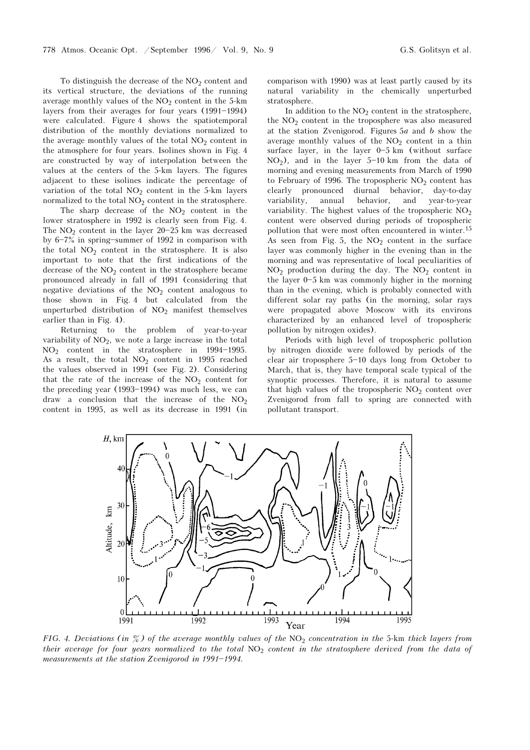To distinguish the decrease of the  $NO<sub>2</sub>$  content and its vertical structure, the deviations of the running average monthly values of the  $NO<sub>2</sub>$  content in the 5-km layers from their averages for four years  $(1991-1994)$ were calculated. Figure 4 shows the spatiotemporal distribution of the monthly deviations normalized to the average monthly values of the total  $NO<sub>2</sub>$  content in the atmosphere for four years. Isolines shown in Fig. 4 are constructed by way of interpolation between the values at the centers of the 5-km layers. The figures adjacent to these isolines indicate the percentage of variation of the total  $NO<sub>2</sub>$  content in the 5-km layers normalized to the total  $NO<sub>2</sub>$  content in the stratosphere.

The sharp decrease of the  $NO<sub>2</sub>$  content in the lower stratosphere in 1992 is clearly seen from Fig. 4. The  $NO<sub>2</sub>$  content in the layer 20-25 km was decreased by  $6-7\%$  in spring-summer of 1992 in comparison with the total  $NO<sub>2</sub>$  content in the stratosphere. It is also important to note that the first indications of the decrease of the  $NO<sub>2</sub>$  content in the stratosphere became pronounced already in fall of 1991 (considering that negative deviations of the  $NO<sub>2</sub>$  content analogous to those shown in Fig. 4 but calculated from the unperturbed distribution of  $NO<sub>2</sub>$  manifest themselves earlier than in Fig. 4).

Returning to the problem of year-to-year variability of  $NO<sub>2</sub>$ , we note a large increase in the total  $NO<sub>2</sub>$  content in the stratosphere in 1994-1995. As a result, the total  $NO<sub>2</sub>$  content in 1995 reached the values observed in 1991 (see Fig. 2). Considering that the rate of the increase of the  $NO<sub>2</sub>$  content for the preceding year  $(1993-1994)$  was much less, we can draw a conclusion that the increase of the  $NO<sub>2</sub>$ content in 1995, as well as its decrease in 1991 (in comparison with 1990) was at least partly caused by its natural variability in the chemically unperturbed stratosphere.

In addition to the  $NO<sub>2</sub>$  content in the stratosphere, the  $NO<sub>2</sub>$  content in the troposphere was also measured at the station Zvenigorod. Figures  $5a$  and  $b$  show the average monthly values of the  $NO<sub>2</sub>$  content in a thin surface layer, in the layer  $0-5$  km (without surface  $NO<sub>2</sub>$ ), and in the layer 5-10 km from the data of morning and evening measurements from March of 1990 to February of 1996. The tropospheric  $NO<sub>2</sub>$  content has clearly pronounced diurnal behavior, day-to-day variability, annual behavior, and year-to-year variability. The highest values of the tropospheric  $NO<sub>2</sub>$ content were observed during periods of tropospheric pollution that were most often encountered in winter.<sup>15</sup> As seen from Fig. 5, the  $NO<sub>2</sub>$  content in the surface layer was commonly higher in the evening than in the morning and was representative of local peculiarities of  $NO<sub>2</sub>$  production during the day. The  $NO<sub>2</sub>$  content in the layer  $0-5$  km was commonly higher in the morning than in the evening, which is probably connected with different solar ray paths (in the morning, solar rays were propagated above Moscow with its environs characterized by an enhanced level of tropospheric pollution by nitrogen oxides).

Periods with high level of tropospheric pollution by nitrogen dioxide were followed by periods of the clear air troposphere  $5-10$  days long from October to March, that is, they have temporal scale typical of the synoptic processes. Therefore, it is natural to assume that high values of the tropospheric  $NO<sub>2</sub>$  content over Zvenigorod from fall to spring are connected with pollutant transport.



FIG. 4. Deviations (in  $\%$ ) of the average monthly values of the NO<sub>2</sub> concentration in the 5-km thick layers from their average for four years normalized to the total  $NO<sub>2</sub>$  content in the stratosphere derived from the data of measurements at the station Zvenigorod in  $1991-1994$ .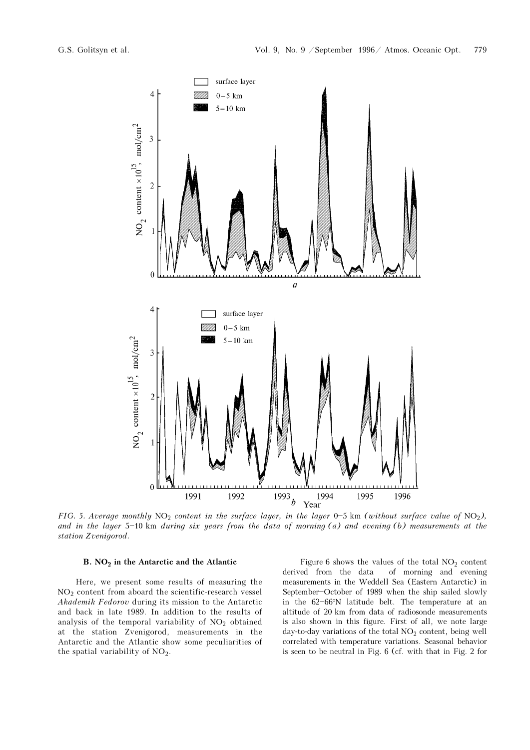

FIG. 5. Average monthly NO<sub>2</sub> content in the surface layer, in the layer 0-5 km (without surface value of NO<sub>2</sub>), and in the layer  $5-10$  km during six years from the data of morning (a) and evening (b) measurements at the station Zvenigorod.

## B.  $NO<sub>2</sub>$  in the Antarctic and the Atlantic

Here, we present some results of measuring the  $NO<sub>2</sub>$  content from aboard the scientific-research vessel Akademik Fedorov during its mission to the Antarctic and back in late 1989. In addition to the results of analysis of the temporal variability of  $NO<sub>2</sub>$  obtained at the station Zvenigorod, measurements in the Antarctic and the Atlantic show some peculiarities of the spatial variability of  $NO<sub>2</sub>$ .

Figure 6 shows the values of the total  $NO<sub>2</sub>$  content derived from the data of morning and evening measurements in the Weddell Sea (Eastern Antarctic) in September-October of 1989 when the ship sailed slowly in the 62-66°N latitude belt. The temperature at an altitude of 20 km from data of radiosonde measurements is also shown in this figure. First of all, we note large day-to-day variations of the total  $NO<sub>2</sub>$  content, being well correlated with temperature variations. Seasonal behavior is seen to be neutral in Fig. 6 (cf. with that in Fig. 2 for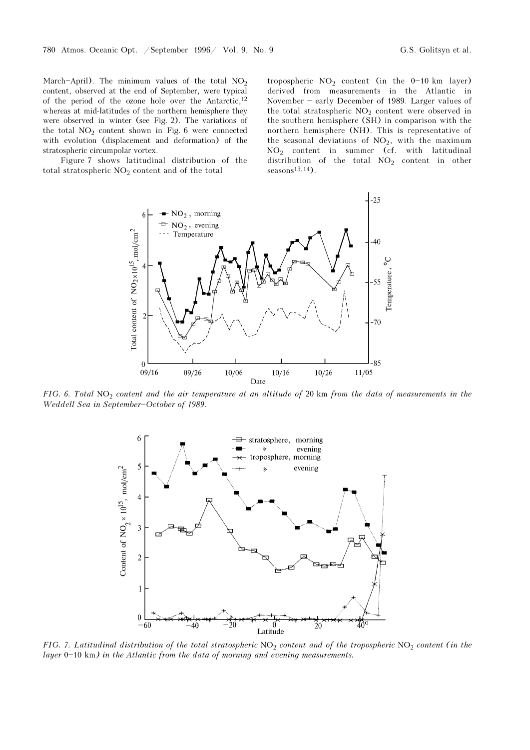March-April). The minimum values of the total  $NO<sub>2</sub>$ content, observed at the end of September, were typical of the period of the ozone hole over the Antarctic,<sup>12</sup> whereas at mid-latitudes of the northern hemisphere they were observed in winter (see Fig. 2). The variations of the total  $NO<sub>2</sub>$  content shown in Fig. 6 were connected with evolution (displacement and deformation) of the stratospheric circumpolar vortex.

Figure 7 shows latitudinal distribution of the total stratospheric  $NO<sub>2</sub>$  content and of the total

tropospheric  $NO<sub>2</sub>$  content (in the 0-10 km layer) derived from measurements in the Atlantic in November - early December of 1989. Larger values of the total stratospheric NO<sub>2</sub> content were observed in the southern hemisphere (SH) in comparison with the northern hemisphere (NH). This is representative of the seasonal deviations of  $NO<sub>2</sub>$ , with the maximum  $NO<sub>2</sub>$  content in summer (cf. with latitudinal distribution of the total  $NO<sub>2</sub>$  content in other seasons $13,14$ ).



FIG. 6. Total  $NO<sub>2</sub>$  content and the air temperature at an altitude of 20 km from the data of measurements in the Weddell Sea in September-October of 1989.



FIG. 7. Latitudinal distribution of the total stratospheric  $NO_2$  content and of the tropospheric  $NO_2$  content (in the layer  $0 - 10$  km) in the Atlantic from the data of morning and evening measurements.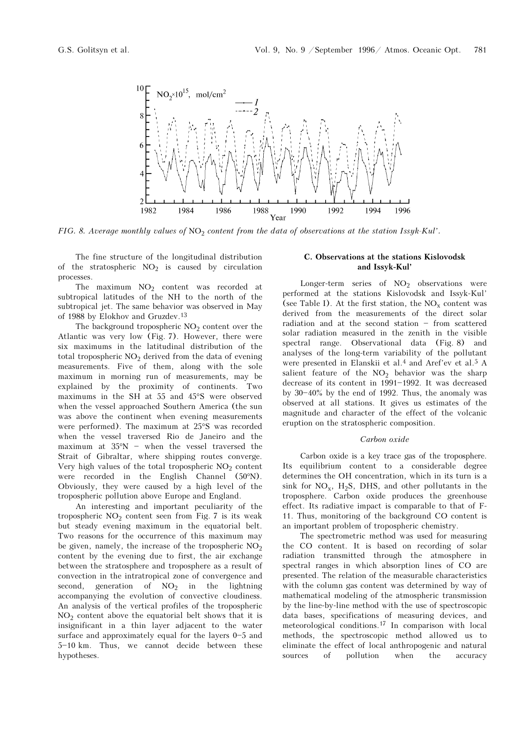

FIG. 8. Average monthly values of NO<sub>2</sub> content from the data of observations at the station Issyk-Kul'.

The fine structure of the longitudinal distribution of the stratospheric  $NO<sub>2</sub>$  is caused by circulation processes.

The maximum  $NO<sub>2</sub>$  content was recorded at subtropical latitudes of the NH to the north of the subtropical jet. The same behavior was observed in May of 1988 by Elokhov and Gruzdev.<sup>13</sup>

The background tropospheric  $NO<sub>2</sub>$  content over the Atlantic was very low (Fig. 7). However, there were six maximums in the latitudinal distribution of the total tropospheric  $NO<sub>2</sub>$  derived from the data of evening measurements. Five of them, along with the sole maximum in morning run of measurements, may be explained by the proximity of continents. Two maximums in the SH at 55 and 45°S were observed when the vessel approached Southern America (the sun was above the continent when evening measurements were performed). The maximum at 25°S was recorded when the vessel traversed Rio de Janeiro and the maximum at  $35^{\circ}N$  - when the vessel traversed the Strait of Gibraltar, where shipping routes converge. Very high values of the total tropospheric  $NO<sub>2</sub>$  content were recorded in the English Channel (50°N). Obviously, they were caused by a high level of the tropospheric pollution above Europe and England.

An interesting and important peculiarity of the tropospheric  $NO<sub>2</sub>$  content seen from Fig. 7 is its weak but steady evening maximum in the equatorial belt. Two reasons for the occurrence of this maximum may be given, namely, the increase of the tropospheric  $NO<sub>2</sub>$ content by the evening due to first, the air exchange between the stratosphere and troposphere as a result of convection in the intratropical zone of convergence and second, generation of  $NO<sub>2</sub>$  in the lightning accompanying the evolution of convective cloudiness. An analysis of the vertical profiles of the tropospheric  $NO<sub>2</sub>$  content above the equatorial belt shows that it is insignificant in a thin layer adjacent to the water surface and approximately equal for the layers  $0-5$  and 5-10 km. Thus, we cannot decide between these hypotheses.

## C. Observations at the stations Kislovodsk and Issyk-Kul'

Longer-term series of  $NO<sub>2</sub>$  observations were performed at the stations Kislovodsk and Issyk-Kul' (see Table I). At the first station, the  $NO<sub>x</sub>$  content was derived from the measurements of the direct solar radiation and at the second station  $-$  from scattered solar radiation measured in the zenith in the visible spectral range. Observational data (Fig. 8) and analyses of the long-term variability of the pollutant were presented in Elanskii et al.<sup>4</sup> and Aref'ev et al.<sup>5</sup> A salient feature of the  $NO<sub>2</sub>$  behavior was the sharp decrease of its content in 1991-1992. It was decreased by  $30-40\%$  by the end of 1992. Thus, the anomaly was observed at all stations. It gives us estimates of the magnitude and character of the effect of the volcanic eruption on the stratospheric composition.

#### Carbon oxide

Carbon oxide is a key trace gas of the troposphere. Its equilibrium content to a considerable degree determines the OH concentration, which in its turn is a sink for  $NO_x$ ,  $H_2S$ , DHS, and other pollutants in the troposphere. Carbon oxide produces the greenhouse effect. Its radiative impact is comparable to that of F-11. Thus, monitoring of the background CO content is an important problem of tropospheric chemistry.

The spectrometric method was used for measuring the CO content. It is based on recording of solar radiation transmitted through the atmosphere in spectral ranges in which absorption lines of CO are presented. The relation of the measurable characteristics with the column gas content was determined by way of mathematical modeling of the atmospheric transmission by the line-by-line method with the use of spectroscopic data bases, specifications of measuring devices, and meteorological conditions.17 In comparison with local methods, the spectroscopic method allowed us to eliminate the effect of local anthropogenic and natural sources of pollution when the accuracy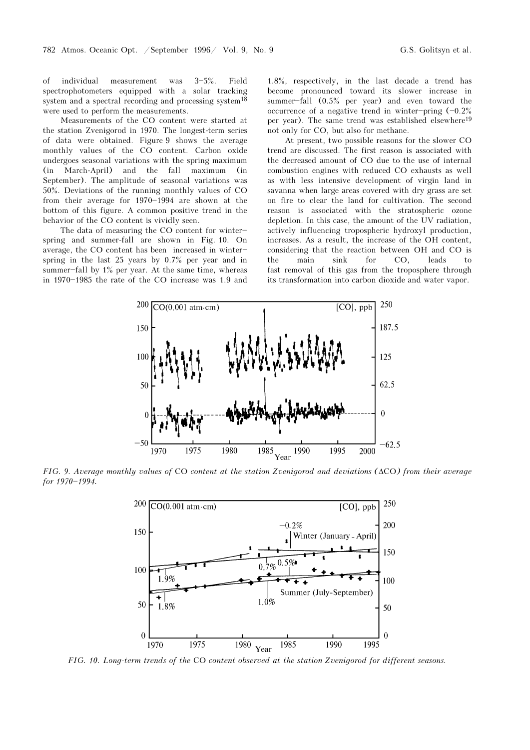of individual measurement was  $3-5%$ . Field spectrophotometers equipped with a solar tracking system and a spectral recording and processing system<sup>18</sup> were used to perform the measurements.

Measurements of the CO content were started at the station Zvenigorod in 1970. The longest-term series of data were obtained. Figure 9 shows the average monthly values of the CO content. Carbon oxide undergoes seasonal variations with the spring maximum (in March-April) and the fall maximum (in September). The amplitude of seasonal variations was 50%. Deviations of the running monthly values of CO from their average for  $1970-1994$  are shown at the bottom of this figure. A common positive trend in the behavior of the CO content is vividly seen.

The data of measuring the  $CO$  content for winterspring and summer-fall are shown in Fig. 10. On average, the CO content has been increased in winter\$ spring in the last 25 years by 0.7% per year and in summer-fall by  $1\%$  per year. At the same time, whereas in  $1970 - 1985$  the rate of the CO increase was 1.9 and

1.8%, respectively, in the last decade a trend has become pronounced toward its slower increase in summer-fall (0.5% per year) and even toward the occurrence of a negative trend in winter-pring  $(-0.2%$ per year). The same trend was established elsewhere<sup>19</sup> not only for CO, but also for methane.

At present, two possible reasons for the slower CO trend are discussed. The first reason is associated with the decreased amount of CO due to the use of internal combustion engines with reduced CO exhausts as well as with less intensive development of virgin land in savanna when large areas covered with dry grass are set on fire to clear the land for cultivation. The second reason is associated with the stratospheric ozone depletion. In this case, the amount of the UV radiation, actively influencing tropospheric hydroxyl production, increases. As a result, the increase of the OH content, considering that the reaction between OH and CO is the main sink for CO, leads to fast removal of this gas from the troposphere through its transformation into carbon dioxide and water vapor.



FIG. 9. Average monthly values of CO content at the station Zvenigorod and deviations (ΔCO) from their average for 1970-1994.



FIG. 10. Long-term trends of the CO content observed at the station Zvenigorod for different seasons.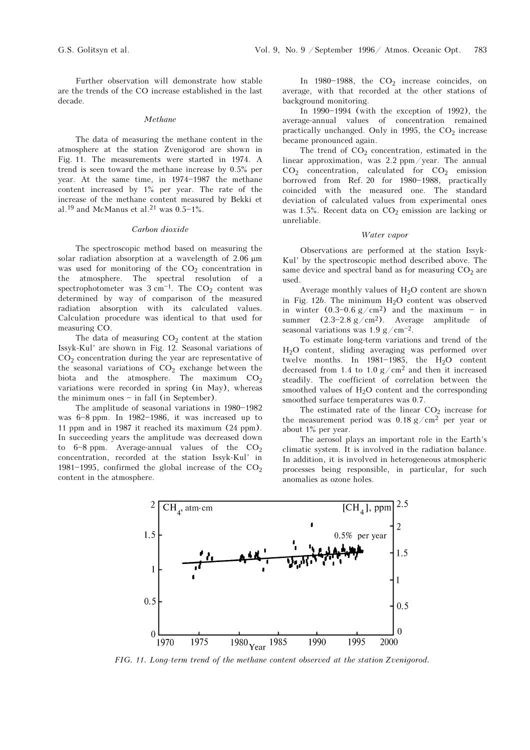Further observation will demonstrate how stable are the trends of the CO increase established in the last decade.

#### Methane

The data of measuring the methane content in the atmosphere at the station Zvenigorod are shown in Fig. 11. The measurements were started in 1974. A trend is seen toward the methane increase by 0.5% per year. At the same time, in  $1974-1987$  the methane content increased by 1% per year. The rate of the increase of the methane content measured by Bekki et al.<sup>19</sup> and McManus et al.<sup>21</sup> was  $0.5-1\%$ .

#### Carbon dioxide

The spectroscopic method based on measuring the solar radiation absorption at a wavelength of 2.06 μm was used for monitoring of the  $CO<sub>2</sub>$  concentration in the atmosphere. The spectral resolution of a spectrophotometer was  $3 \text{ cm}^{-1}$ . The CO<sub>2</sub> content was determined by way of comparison of the measured radiation absorption with its calculated values. Calculation procedure was identical to that used for measuring CO.

The data of measuring  $CO<sub>2</sub>$  content at the station Issyk-Kul' are shown in Fig. 12. Seasonal variations of CO2 concentration during the year are representative of the seasonal variations of  $CO<sub>2</sub>$  exchange between the biota and the atmosphere. The maximum  $CO<sub>2</sub>$ variations were recorded in spring (in May), whereas the minimum ones  $-$  in fall (in September).

The amplitude of seasonal variations in  $1980-1982$ was  $6-8$  ppm. In  $1982-1986$ , it was increased up to 11 ppm and in 1987 it reached its maximum (24 ppm). In succeeding years the amplitude was decreased down to  $6-8$  ppm. Average-annual values of the  $CO<sub>2</sub>$ concentration, recorded at the station Issyk-Kul' in 1981-1995, confirmed the global increase of the  $CO<sub>2</sub>$ content in the atmosphere.

In  $1980-1988$ , the  $CO<sub>2</sub>$  increase coincides, on average, with that recorded at the other stations of background monitoring.

In  $1990-1994$  (with the exception of 1992), the average-annual values of concentration remained practically unchanged. Only in 1995, the  $CO<sub>2</sub>$  increase became pronounced again.

The trend of  $CO<sub>2</sub>$  concentration, estimated in the linear approximation, was 2.2 ppm/year. The annual  $CO<sub>2</sub>$  concentration, calculated for  $CO<sub>2</sub>$  emission borrowed from Ref. 20 for 1980-1988, practically coincided with the measured one. The standard deviation of calculated values from experimental ones was 1.5%. Recent data on  $CO<sub>2</sub>$  emission are lacking or unreliable.

#### Water vapor

Observations are performed at the station Issyk-Kul' by the spectroscopic method described above. The same device and spectral band as for measuring  $CO<sub>2</sub>$  are used.

Average monthly values of  $H_2O$  content are shown in Fig.  $12b$ . The minimum  $H<sub>2</sub>O$  content was observed in winter  $(0.3-0.6 \text{ g/cm}^2)$  and the maximum - in summer  $(2.3-2.8 \text{ g/cm}^2)$ . Average amplitude of seasonal variations was  $1.9 \text{ g/cm}^{-2}$ .

To estimate long-term variations and trend of the H2O content, sliding averaging was performed over twelve months. In  $1981-1985$ , the H<sub>2</sub>O content decreased from 1.4 to 1.0  $g/cm^2$  and then it increased steadily. The coefficient of correlation between the smoothed values of  $H_2O$  content and the corresponding smoothed surface temperatures was 0.7.

The estimated rate of the linear  $CO<sub>2</sub>$  increase for the measurement period was 0.18 g/cm2 per year or about 1% per year.

The aerosol plays an important role in the Earth's climatic system. It is involved in the radiation balance. In addition, it is involved in heterogeneous atmospheric processes being responsible, in particular, for such anomalies as ozone holes.



FIG. 11. Long-term trend of the methane content observed at the station Zvenigorod.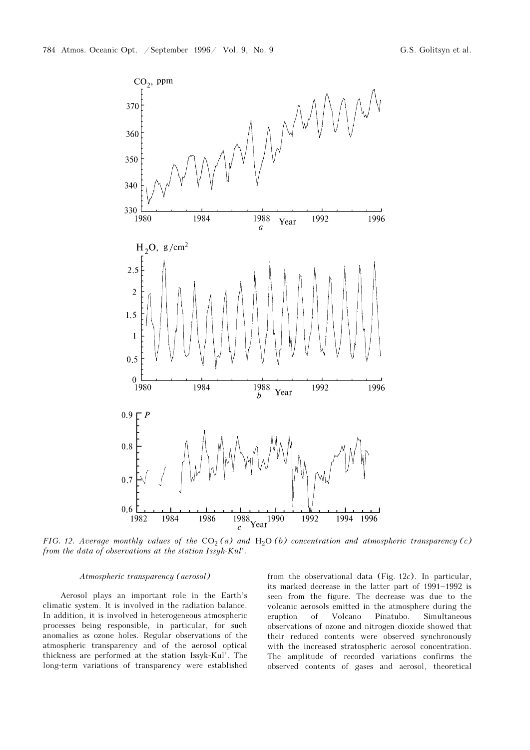

FIG. 12. Average monthly values of the  $CO<sub>2</sub>(a)$  and  $H<sub>2</sub>O(b)$  concentration and atmospheric transparency (c) from the data of observations at the station Issyk-Kul'.

#### Atmospheric transparency (aerosol)

Aerosol plays an important role in the Earth's climatic system. It is involved in the radiation balance. In addition, it is involved in heterogeneous atmospheric processes being responsible, in particular, for such anomalies as ozone holes. Regular observations of the atmospheric transparency and of the aerosol optical thickness are performed at the station Issyk-Kul'. The long-term variations of transparency were established from the observational data (Fig. 12c). In particular, its marked decrease in the latter part of  $1991-1992$  is seen from the figure. The decrease was due to the volcanic aerosols emitted in the atmosphere during the eruption of Volcano Pinatubo. Simultaneous observations of ozone and nitrogen dioxide showed that their reduced contents were observed synchronously with the increased stratospheric aerosol concentration. The amplitude of recorded variations confirms the observed contents of gases and aerosol, theoretical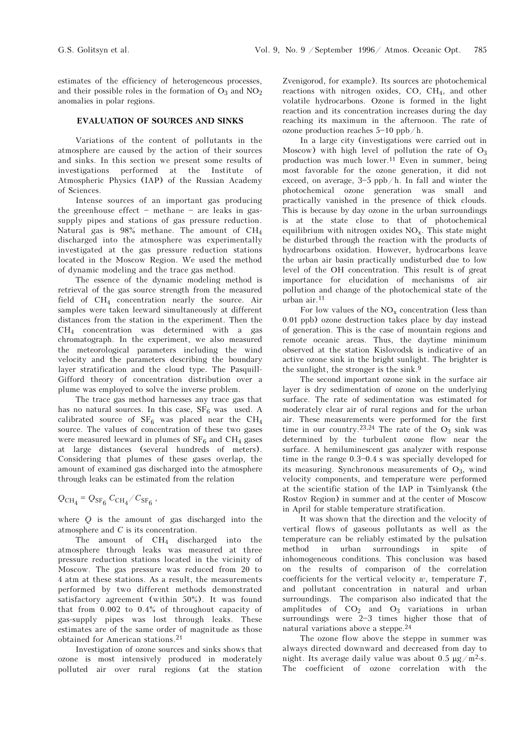estimates of the efficiency of heterogeneous processes, and their possible roles in the formation of  $O_3$  and  $NO_2$ anomalies in polar regions.

## EVALUATION OF SOURCES AND SINKS

Variations of the content of pollutants in the atmosphere are caused by the action of their sources and sinks. In this section we present some results of investigations performed at the Institute of Atmospheric Physics (IAP) of the Russian Academy of Sciences.

Intense sources of an important gas producing the greenhouse effect  $-$  methane  $-$  are leaks in gassupply pipes and stations of gas pressure reduction. Natural gas is  $98\%$  methane. The amount of CH<sub>4</sub> discharged into the atmosphere was experimentally investigated at the gas pressure reduction stations located in the Moscow Region. We used the method of dynamic modeling and the trace gas method.

The essence of the dynamic modeling method is retrieval of the gas source strength from the measured field of  $CH<sub>4</sub>$  concentration nearly the source. Air samples were taken leeward simultaneously at different distances from the station in the experiment. Then the  $CH<sub>4</sub>$  concentration was determined with a gas chromatograph. In the experiment, we also measured the meteorological parameters including the wind velocity and the parameters describing the boundary layer stratification and the cloud type. The Pasquill-Gifford theory of concentration distribution over a plume was employed to solve the inverse problem.

The trace gas method harnesses any trace gas that has no natural sources. In this case,  $SF_6$  was used. A calibrated source of  $SF_6$  was placed near the  $CH_4$ source. The values of concentration of these two gases were measured leeward in plumes of  $SF_6$  and  $CH_4$  gases at large distances (several hundreds of meters). Considering that plumes of these gases overlap, the amount of examined gas discharged into the atmosphere through leaks can be estimated from the relation

# $Q_{\text{CH}_4} = Q_{\text{SF}_6} C_{\text{CH}_4}/C_{\text{SF}_6}$ ,

where Q is the amount of gas discharged into the atmosphere and C is its concentration.

The amount of  $CH<sub>4</sub>$  discharged into the atmosphere through leaks was measured at three pressure reduction stations located in the vicinity of Moscow. The gas pressure was reduced from 20 to 4 atm at these stations. As a result, the measurements performed by two different methods demonstrated satisfactory agreement (within 50%). It was found that from 0.002 to 0.4% of throughout capacity of gas-supply pipes was lost through leaks. These estimates are of the same order of magnitude as those obtained for American stations.<sup>21</sup>

Investigation of ozone sources and sinks shows that ozone is most intensively produced in moderately polluted air over rural regions (at the station Zvenigorod, for example). Its sources are photochemical reactions with nitrogen oxides, CO,  $CH_4$ , and other volatile hydrocarbons. Ozone is formed in the light reaction and its concentration increases during the day reaching its maximum in the afternoon. The rate of ozone production reaches  $5-10$  ppb/h.

In a large city (investigations were carried out in Moscow) with high level of pollution the rate of  $O_3$ production was much lower.11 Even in summer, being most favorable for the ozone generation, it did not exceed, on average,  $3-5$  ppb/h. In fall and winter the photochemical ozone generation was small and practically vanished in the presence of thick clouds. This is because by day ozone in the urban surroundings is at the state close to that of photochemical equilibrium with nitrogen oxides  $NO<sub>x</sub>$ . This state might be disturbed through the reaction with the products of hydrocarbons oxidation. However, hydrocarbons leave the urban air basin practically undisturbed due to low level of the OH concentration. This result is of great importance for elucidation of mechanisms of air pollution and change of the photochemical state of the urban air.<sup>11</sup>

For low values of the  $NO_x$  concentration (less than 0.01 ppb) ozone destruction takes place by day instead of generation. This is the case of mountain regions and remote oceanic areas. Thus, the daytime minimum observed at the station Kislovodsk is indicative of an active ozone sink in the bright sunlight. The brighter is the sunlight, the stronger is the sink.<sup>9</sup>

The second important ozone sink in the surface air layer is dry sedimentation of ozone on the underlying surface. The rate of sedimentation was estimated for moderately clear air of rural regions and for the urban air. These measurements were performed for the first time in our country.<sup>23,24</sup> The rate of the  $O_3$  sink was determined by the turbulent ozone flow near the surface. A hemiluminescent gas analyzer with response time in the range  $0.3 - 0.4$  s was specially developed for its measuring. Synchronous measurements of  $O_3$ , wind velocity components, and temperature were performed at the scientific station of the IAP in Tsimlyansk (the Rostov Region) in summer and at the center of Moscow in April for stable temperature stratification.

It was shown that the direction and the velocity of vertical flows of gaseous pollutants as well as the temperature can be reliably estimated by the pulsation method in urban surroundings in spite of inhomogeneous conditions. This conclusion was based on the results of comparison of the correlation coefficients for the vertical velocity  $w$ , temperature  $T$ , and pollutant concentration in natural and urban surroundings. The comparison also indicated that the amplitudes of  $CO<sub>2</sub>$  and  $O<sub>3</sub>$  variations in urban surroundings were  $2-3$  times higher those that of natural variations above a steppe.<sup>24</sup>

The ozone flow above the steppe in summer was always directed downward and decreased from day to night. Its average daily value was about 0.5  $\mu$ g/m<sup>2</sup>⋅s. The coefficient of ozone correlation with the